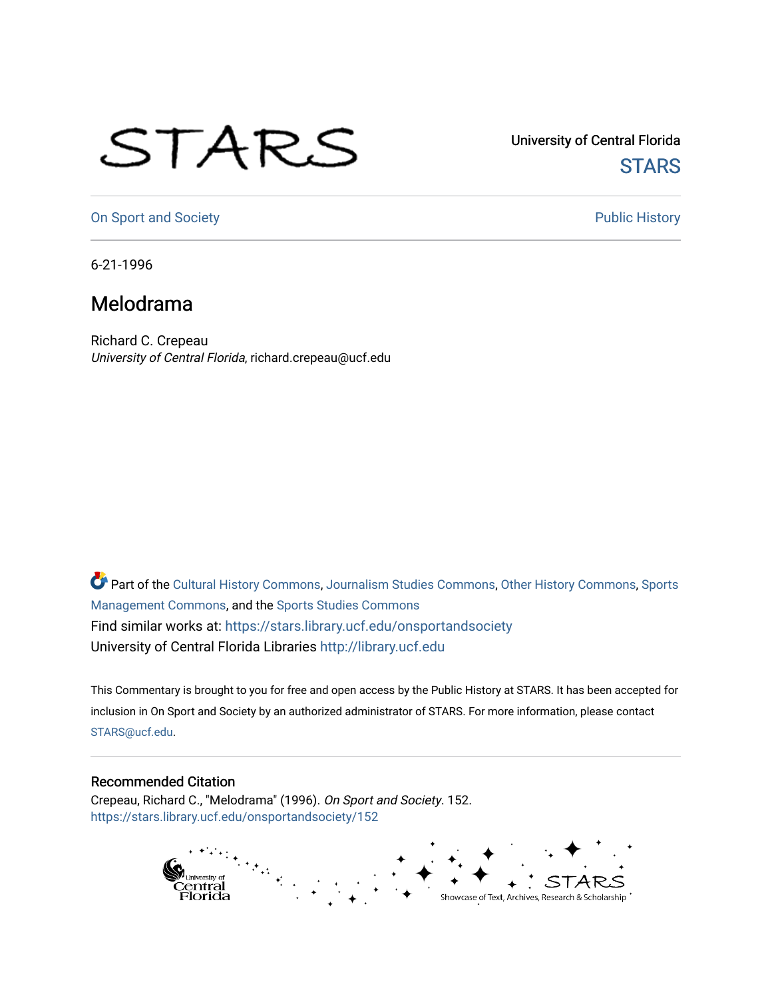## STARS

University of Central Florida **STARS** 

[On Sport and Society](https://stars.library.ucf.edu/onsportandsociety) **Public History** Public History

6-21-1996

## Melodrama

Richard C. Crepeau University of Central Florida, richard.crepeau@ucf.edu

Part of the [Cultural History Commons](http://network.bepress.com/hgg/discipline/496?utm_source=stars.library.ucf.edu%2Fonsportandsociety%2F152&utm_medium=PDF&utm_campaign=PDFCoverPages), [Journalism Studies Commons,](http://network.bepress.com/hgg/discipline/333?utm_source=stars.library.ucf.edu%2Fonsportandsociety%2F152&utm_medium=PDF&utm_campaign=PDFCoverPages) [Other History Commons,](http://network.bepress.com/hgg/discipline/508?utm_source=stars.library.ucf.edu%2Fonsportandsociety%2F152&utm_medium=PDF&utm_campaign=PDFCoverPages) [Sports](http://network.bepress.com/hgg/discipline/1193?utm_source=stars.library.ucf.edu%2Fonsportandsociety%2F152&utm_medium=PDF&utm_campaign=PDFCoverPages) [Management Commons](http://network.bepress.com/hgg/discipline/1193?utm_source=stars.library.ucf.edu%2Fonsportandsociety%2F152&utm_medium=PDF&utm_campaign=PDFCoverPages), and the [Sports Studies Commons](http://network.bepress.com/hgg/discipline/1198?utm_source=stars.library.ucf.edu%2Fonsportandsociety%2F152&utm_medium=PDF&utm_campaign=PDFCoverPages) Find similar works at: <https://stars.library.ucf.edu/onsportandsociety> University of Central Florida Libraries [http://library.ucf.edu](http://library.ucf.edu/) 

This Commentary is brought to you for free and open access by the Public History at STARS. It has been accepted for inclusion in On Sport and Society by an authorized administrator of STARS. For more information, please contact [STARS@ucf.edu](mailto:STARS@ucf.edu).

## Recommended Citation

Crepeau, Richard C., "Melodrama" (1996). On Sport and Society. 152. [https://stars.library.ucf.edu/onsportandsociety/152](https://stars.library.ucf.edu/onsportandsociety/152?utm_source=stars.library.ucf.edu%2Fonsportandsociety%2F152&utm_medium=PDF&utm_campaign=PDFCoverPages)

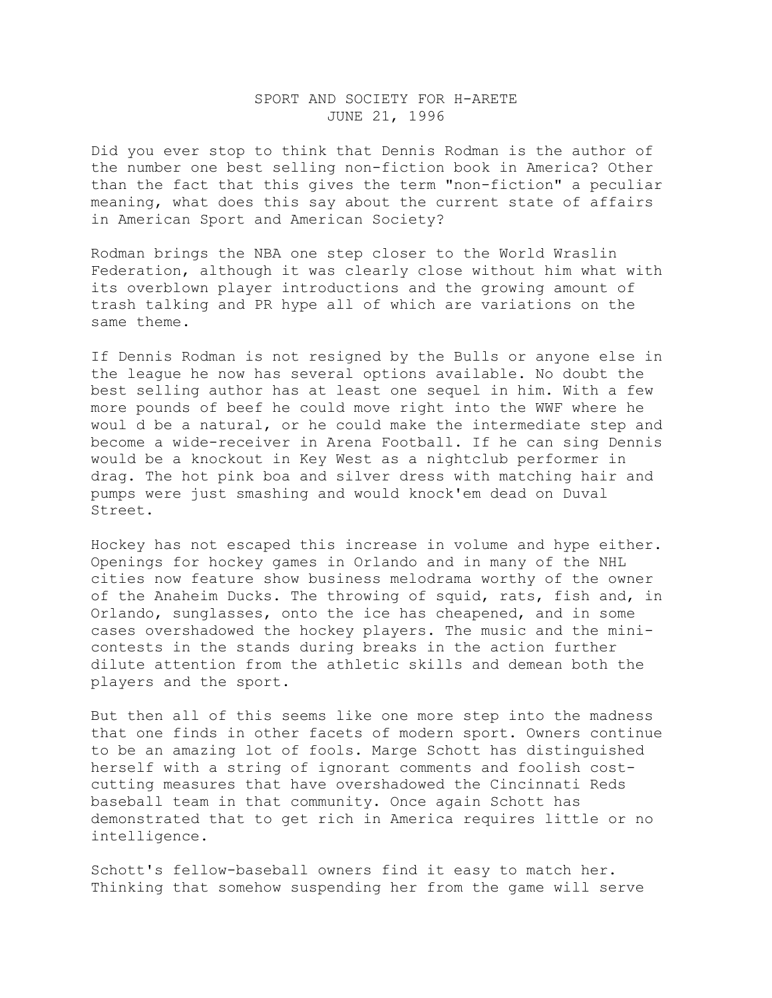## SPORT AND SOCIETY FOR H-ARETE JUNE 21, 1996

Did you ever stop to think that Dennis Rodman is the author of the number one best selling non-fiction book in America? Other than the fact that this gives the term "non-fiction" a peculiar meaning, what does this say about the current state of affairs in American Sport and American Society?

Rodman brings the NBA one step closer to the World Wraslin Federation, although it was clearly close without him what with its overblown player introductions and the growing amount of trash talking and PR hype all of which are variations on the same theme.

If Dennis Rodman is not resigned by the Bulls or anyone else in the league he now has several options available. No doubt the best selling author has at least one sequel in him. With a few more pounds of beef he could move right into the WWF where he woul d be a natural, or he could make the intermediate step and become a wide-receiver in Arena Football. If he can sing Dennis would be a knockout in Key West as a nightclub performer in drag. The hot pink boa and silver dress with matching hair and pumps were just smashing and would knock'em dead on Duval Street.

Hockey has not escaped this increase in volume and hype either. Openings for hockey games in Orlando and in many of the NHL cities now feature show business melodrama worthy of the owner of the Anaheim Ducks. The throwing of squid, rats, fish and, in Orlando, sunglasses, onto the ice has cheapened, and in some cases overshadowed the hockey players. The music and the minicontests in the stands during breaks in the action further dilute attention from the athletic skills and demean both the players and the sport.

But then all of this seems like one more step into the madness that one finds in other facets of modern sport. Owners continue to be an amazing lot of fools. Marge Schott has distinguished herself with a string of ignorant comments and foolish costcutting measures that have overshadowed the Cincinnati Reds baseball team in that community. Once again Schott has demonstrated that to get rich in America requires little or no intelligence.

Schott's fellow-baseball owners find it easy to match her. Thinking that somehow suspending her from the game will serve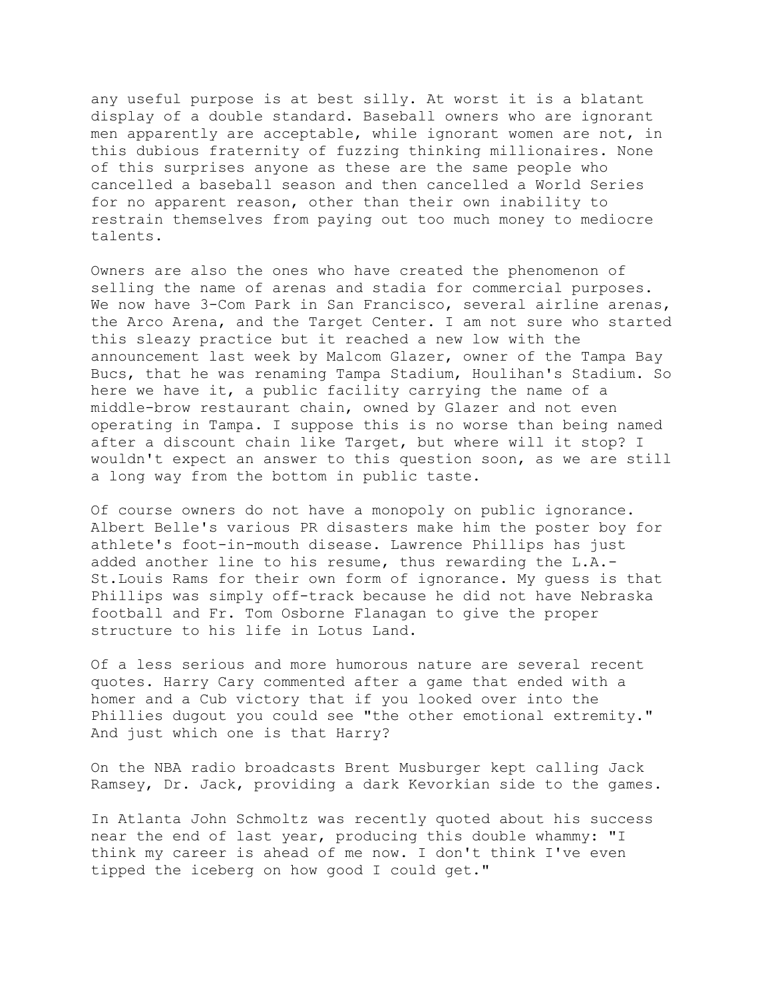any useful purpose is at best silly. At worst it is a blatant display of a double standard. Baseball owners who are ignorant men apparently are acceptable, while ignorant women are not, in this dubious fraternity of fuzzing thinking millionaires. None of this surprises anyone as these are the same people who cancelled a baseball season and then cancelled a World Series for no apparent reason, other than their own inability to restrain themselves from paying out too much money to mediocre talents.

Owners are also the ones who have created the phenomenon of selling the name of arenas and stadia for commercial purposes. We now have 3-Com Park in San Francisco, several airline arenas, the Arco Arena, and the Target Center. I am not sure who started this sleazy practice but it reached a new low with the announcement last week by Malcom Glazer, owner of the Tampa Bay Bucs, that he was renaming Tampa Stadium, Houlihan's Stadium. So here we have it, a public facility carrying the name of a middle-brow restaurant chain, owned by Glazer and not even operating in Tampa. I suppose this is no worse than being named after a discount chain like Target, but where will it stop? I wouldn't expect an answer to this question soon, as we are still a long way from the bottom in public taste.

Of course owners do not have a monopoly on public ignorance. Albert Belle's various PR disasters make him the poster boy for athlete's foot-in-mouth disease. Lawrence Phillips has just added another line to his resume, thus rewarding the L.A.- St.Louis Rams for their own form of ignorance. My guess is that Phillips was simply off-track because he did not have Nebraska football and Fr. Tom Osborne Flanagan to give the proper structure to his life in Lotus Land.

Of a less serious and more humorous nature are several recent quotes. Harry Cary commented after a game that ended with a homer and a Cub victory that if you looked over into the Phillies dugout you could see "the other emotional extremity." And just which one is that Harry?

On the NBA radio broadcasts Brent Musburger kept calling Jack Ramsey, Dr. Jack, providing a dark Kevorkian side to the games.

In Atlanta John Schmoltz was recently quoted about his success near the end of last year, producing this double whammy: "I think my career is ahead of me now. I don't think I've even tipped the iceberg on how good I could get."